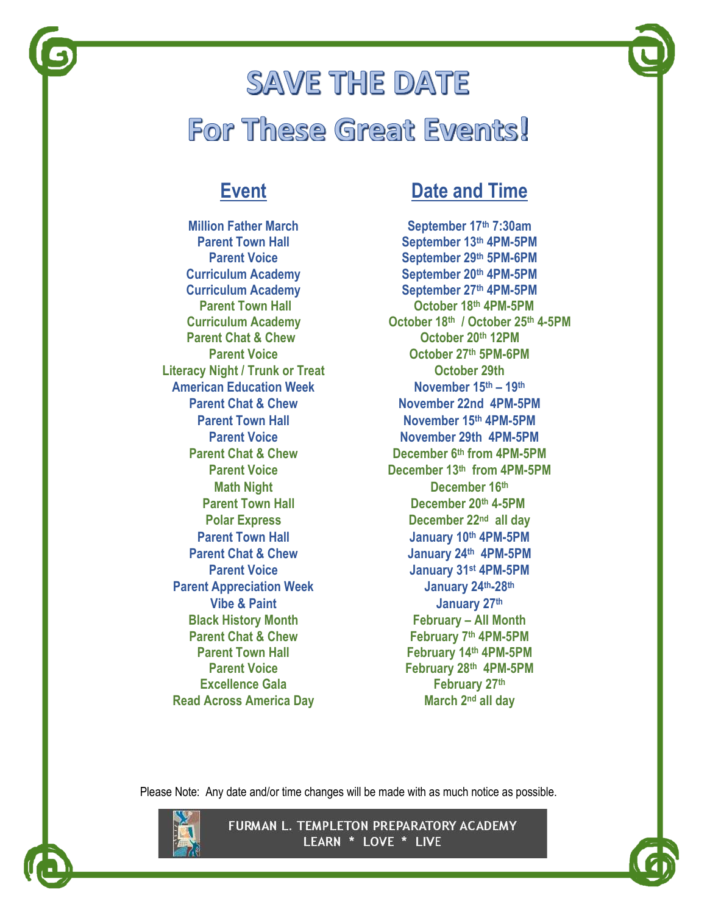## **SAVE THE DATE** For These Great Events!

**Million Father March September 17th 7:30am Parent Town Hall Curriculum Academy Parent Chat & Chew Parent Voice Literacy Night / Trunk or Treat CELL COMPANY COMPANY CONTROLLY 19th American Education Week November 15th – 19th Parent Chat & Chew Parent Appreciation Week January 24th-28th Parent Chat & Chew Parent Town Hall Parent Voice Excellence Gala Read Across America Day March 2nd all day**

### **Event Date** and Time

**Parent Town Hall September 13th 4PM-5PM Parent Voice September 29th 5PM-6PM Curriculum Academy September 20th 4PM-5PM Curriculum Academy September 27th 4PM-5PM October 18th 4PM-5PM October 18th / October 25th 4-5PM October 20th 12PM th 5PM-6PM Parent Chat & Chew Movember 22nd 4PM-5PM Parent Town Hall November 15<sup>th</sup> 4PM-5PM Parent Voice November 29th 4PM-5PM December 6th from 4PM-5PM Parent Voice December 13th from 4PM-5PM Math Night December 16<sup>th</sup> Parent Town Hall Comparent Town Hall Comparent Parent Parent Parent Parent Parent Parent Parent Parent Parent Parent Parent Parent Parent Parent Parent Parent Parent Parent Parent Parent Parent Parent Parent Parent Paren Polar Express December 22nd all day Parent Town Hall January 10th 4PM-5PM Parent Chat & Chew January 24th 4PM-5PM Parent Voice January 31st 4PM-5PM Vibe & Paint January 27th Black History Month February – All Month February 7 th 4PM-5PM February 14th 4PM-5PM February 28th 4PM-5PM February 27th**

Please Note: Any date and/or time changes will be made with as much notice as possible.



FURMAN L. TEMPLETON PREPARATORY ACADEMY LEARN \* LOVE \* LIVE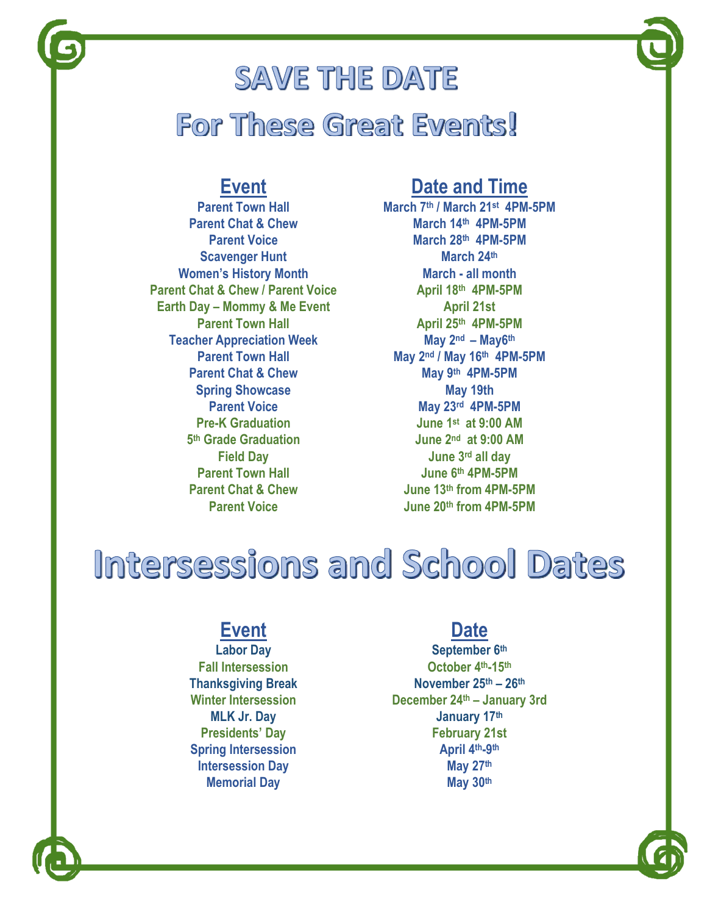## **SAVE THE DATE** For These Great Events!

**Parent Chat & Chew March 14<sup>th</sup> 4PM-5PM Scavenger Hunt March 24<sup>th</sup> Women's History Month <b>March** - **all month Parent Chat & Chew / Parent Voice Earth Day – Mommy & Me Event April 21st Parent Town Hall April 25<sup>th</sup> 4PM-5PM Teacher Appreciation Week Parent Chat & Chew May 9<sup>th</sup> 4PM-5PM Spring Showcase May 19th Pre-K Graduation 5 th Grade Graduation June 2nd at 9:00 AM Field Dav Parent Town Hall June 6th 4PM-5PM Parent Chat & Chew June 13th from 4PM-5PM**

### **Event**<br>**Parent Town Hall March 7th / March 21st 4PM**

**Parent Town Hall March 7th / March 21st 4PM-5PM Parent Voice March 28<sup>th</sup> 4PM-5PM th 4PM-5PM nd – May6 th Parent Town Hall May 2nd / May 16th 4PM-5PM Parent Voice May 23rd 4PM-5PM June 1st at 9:00 AM** June 3rd all day **Parent Voice June 20th from 4PM-5PM**

## Intersessions and School Dates

### **Event Date**

**Fall Intersession Spring Intersession** 

**Labor Day September 6th th-15th Thanksgiving Break November 25th – 26th Winter Intersession December 24th – January 3rd MLK Jr. Day January 17th Presidents' Day February 21st April 4th-9th Intersession Day** May 27<sup>th</sup> **Memorial Day** May 30<sup>th</sup>